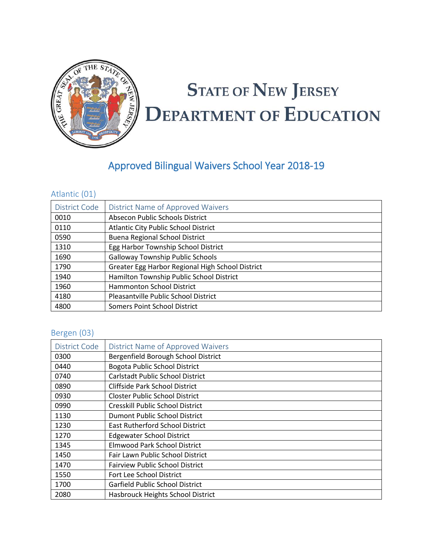

# **STATE OF NEW JERSEY DEPARTMENT OF EDUCATION**

# Approved Bilingual Waivers School Year 2018-19

#### Atlantic (01)

| District Code | District Name of Approved Waivers                |
|---------------|--------------------------------------------------|
| 0010          | Absecon Public Schools District                  |
| 0110          | <b>Atlantic City Public School District</b>      |
| 0590          | <b>Buena Regional School District</b>            |
| 1310          | Egg Harbor Township School District              |
| 1690          | <b>Galloway Township Public Schools</b>          |
| 1790          | Greater Egg Harbor Regional High School District |
| 1940          | Hamilton Township Public School District         |
| 1960          | <b>Hammonton School District</b>                 |
| 4180          | Pleasantville Public School District             |
| 4800          | Somers Point School District                     |

#### Bergen (03)

| District Code | District Name of Approved Waivers      |
|---------------|----------------------------------------|
| 0300          | Bergenfield Borough School District    |
| 0440          | <b>Bogota Public School District</b>   |
| 0740          | Carlstadt Public School District       |
| 0890          | <b>Cliffside Park School District</b>  |
| 0930          | <b>Closter Public School District</b>  |
| 0990          | Cresskill Public School District       |
| 1130          | Dumont Public School District          |
| 1230          | <b>East Rutherford School District</b> |
| 1270          | <b>Edgewater School District</b>       |
| 1345          | <b>Elmwood Park School District</b>    |
| 1450          | Fair Lawn Public School District       |
| 1470          | <b>Fairview Public School District</b> |
| 1550          | Fort Lee School District               |
| 1700          | Garfield Public School District        |
| 2080          | Hasbrouck Heights School District      |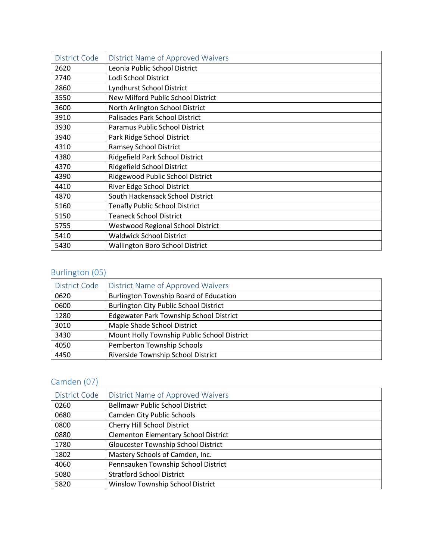| District Code | District Name of Approved Waivers        |
|---------------|------------------------------------------|
| 2620          | Leonia Public School District            |
| 2740          | Lodi School District                     |
| 2860          | Lyndhurst School District                |
| 3550          | New Milford Public School District       |
| 3600          | North Arlington School District          |
| 3910          | Palisades Park School District           |
| 3930          | Paramus Public School District           |
| 3940          | Park Ridge School District               |
| 4310          | <b>Ramsey School District</b>            |
| 4380          | Ridgefield Park School District          |
| 4370          | Ridgefield School District               |
| 4390          | Ridgewood Public School District         |
| 4410          | River Edge School District               |
| 4870          | South Hackensack School District         |
| 5160          | <b>Tenafly Public School District</b>    |
| 5150          | <b>Teaneck School District</b>           |
| 5755          | <b>Westwood Regional School District</b> |
| 5410          | <b>Waldwick School District</b>          |
| 5430          | <b>Wallington Boro School District</b>   |

#### Burlington (05)

| District Code | District Name of Approved Waivers              |
|---------------|------------------------------------------------|
| 0620          | Burlington Township Board of Education         |
| 0600          | <b>Burlington City Public School District</b>  |
| 1280          | <b>Edgewater Park Township School District</b> |
| 3010          | Maple Shade School District                    |
| 3430          | Mount Holly Township Public School District    |
| 4050          | Pemberton Township Schools                     |
| 4450          | Riverside Township School District             |

# Camden (07)

| District Code | District Name of Approved Waivers           |
|---------------|---------------------------------------------|
| 0260          | <b>Bellmawr Public School District</b>      |
| 0680          | <b>Camden City Public Schools</b>           |
| 0800          | Cherry Hill School District                 |
| 0880          | <b>Clementon Elementary School District</b> |
| 1780          | <b>Gloucester Township School District</b>  |
| 1802          | Mastery Schools of Camden, Inc.             |
| 4060          | Pennsauken Township School District         |
| 5080          | <b>Stratford School District</b>            |
| 5820          | Winslow Township School District            |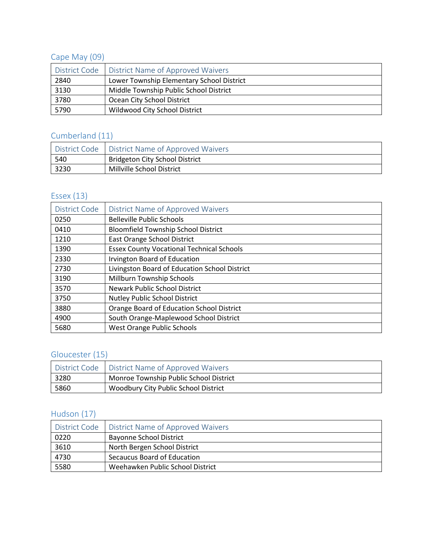# Cape May (09)

|      | District Code   District Name of Approved Waivers |
|------|---------------------------------------------------|
| 2840 | Lower Township Elementary School District         |
| 3130 | Middle Township Public School District            |
| 3780 | Ocean City School District                        |
| 5790 | Wildwood City School District                     |

# Cumberland (11)

|      | District Code   District Name of Approved Waivers |
|------|---------------------------------------------------|
| 540  | <b>Bridgeton City School District</b>             |
| 3230 | Millville School District                         |

## Essex (13)

| District Code | District Name of Approved Waivers                |
|---------------|--------------------------------------------------|
| 0250          | <b>Belleville Public Schools</b>                 |
| 0410          | <b>Bloomfield Township School District</b>       |
| 1210          | East Orange School District                      |
| 1390          | <b>Essex County Vocational Technical Schools</b> |
| 2330          | <b>Irvington Board of Education</b>              |
| 2730          | Livingston Board of Education School District    |
| 3190          | Millburn Township Schools                        |
| 3570          | <b>Newark Public School District</b>             |
| 3750          | <b>Nutley Public School District</b>             |
| 3880          | Orange Board of Education School District        |
| 4900          | South Orange-Maplewood School District           |
| 5680          | <b>West Orange Public Schools</b>                |

# Gloucester (15)

|      | District Code   District Name of Approved Waivers |
|------|---------------------------------------------------|
| 3280 | Monroe Township Public School District            |
| 5860 | Woodbury City Public School District              |

## Hudson (17)

|      | District Code   District Name of Approved Waivers |
|------|---------------------------------------------------|
| 0220 | <b>Bayonne School District</b>                    |
| 3610 | North Bergen School District                      |
| 4730 | Secaucus Board of Education                       |
| 5580 | Weehawken Public School District                  |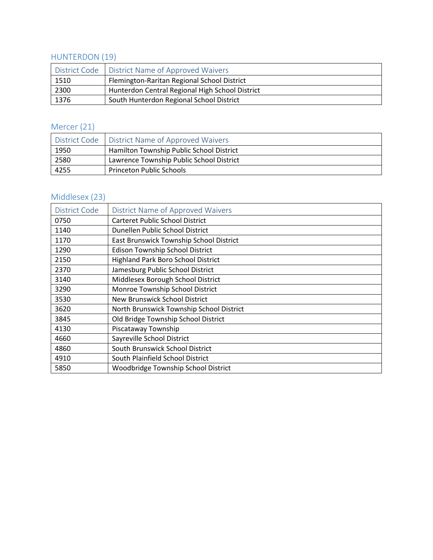#### HUNTERDON (19)

|      | District Code   District Name of Approved Waivers |
|------|---------------------------------------------------|
| 1510 | Flemington-Raritan Regional School District       |
| 2300 | Hunterdon Central Regional High School District   |
| 1376 | South Hunterdon Regional School District          |

## Mercer (21)

|      | District Code   District Name of Approved Waivers |
|------|---------------------------------------------------|
| 1950 | Hamilton Township Public School District          |
| 2580 | Lawrence Township Public School District          |
| 4255 | <b>Princeton Public Schools</b>                   |

## Middlesex (23)

| District Code | <b>District Name of Approved Waivers</b> |
|---------------|------------------------------------------|
| 0750          | <b>Carteret Public School District</b>   |
| 1140          | Dunellen Public School District          |
| 1170          | East Brunswick Township School District  |
| 1290          | Edison Township School District          |
| 2150          | Highland Park Boro School District       |
| 2370          | Jamesburg Public School District         |
| 3140          | Middlesex Borough School District        |
| 3290          | Monroe Township School District          |
| 3530          | <b>New Brunswick School District</b>     |
| 3620          | North Brunswick Township School District |
| 3845          | Old Bridge Township School District      |
| 4130          | Piscataway Township                      |
| 4660          | Sayreville School District               |
| 4860          | South Brunswick School District          |
| 4910          | South Plainfield School District         |
| 5850          | Woodbridge Township School District      |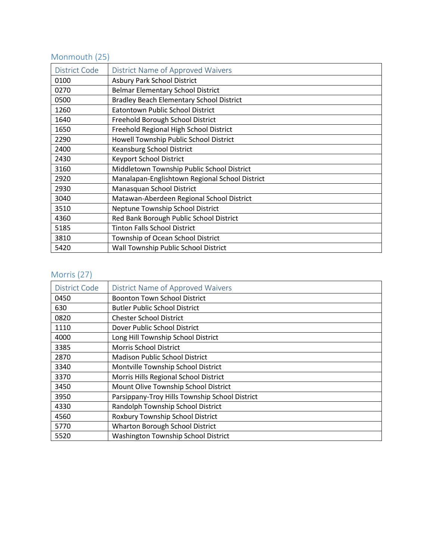# Monmouth (25)

| District Code | District Name of Approved Waivers               |
|---------------|-------------------------------------------------|
| 0100          | <b>Asbury Park School District</b>              |
| 0270          | <b>Belmar Elementary School District</b>        |
| 0500          | <b>Bradley Beach Elementary School District</b> |
| 1260          | <b>Eatontown Public School District</b>         |
| 1640          | Freehold Borough School District                |
| 1650          | Freehold Regional High School District          |
| 2290          | Howell Township Public School District          |
| 2400          | Keansburg School District                       |
| 2430          | Keyport School District                         |
| 3160          | Middletown Township Public School District      |
| 2920          | Manalapan-Englishtown Regional School District  |
| 2930          | Manasquan School District                       |
| 3040          | Matawan-Aberdeen Regional School District       |
| 3510          | Neptune Township School District                |
| 4360          | Red Bank Borough Public School District         |
| 5185          | <b>Tinton Falls School District</b>             |
| 3810          | Township of Ocean School District               |
| 5420          | Wall Township Public School District            |

#### Morris (27)

| District Code | District Name of Approved Waivers              |
|---------------|------------------------------------------------|
| 0450          | <b>Boonton Town School District</b>            |
| 630           | <b>Butler Public School District</b>           |
| 0820          | <b>Chester School District</b>                 |
| 1110          | Dover Public School District                   |
| 4000          | Long Hill Township School District             |
| 3385          | <b>Morris School District</b>                  |
| 2870          | <b>Madison Public School District</b>          |
| 3340          | Montville Township School District             |
| 3370          | Morris Hills Regional School District          |
| 3450          | Mount Olive Township School District           |
| 3950          | Parsippany-Troy Hills Township School District |
| 4330          | Randolph Township School District              |
| 4560          | Roxbury Township School District               |
| 5770          | <b>Wharton Borough School District</b>         |
| 5520          | <b>Washington Township School District</b>     |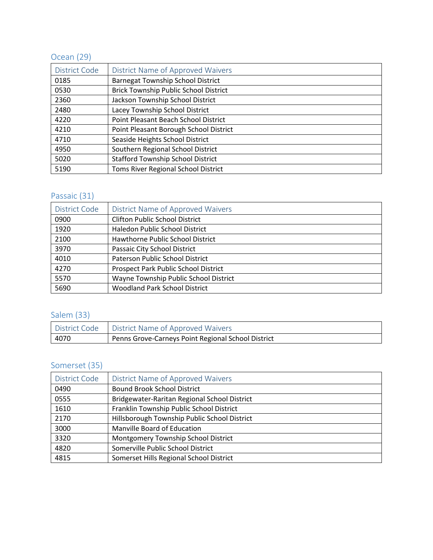# Ocean (29)

| District Code | District Name of Approved Waivers            |
|---------------|----------------------------------------------|
| 0185          | <b>Barnegat Township School District</b>     |
| 0530          | <b>Brick Township Public School District</b> |
| 2360          | Jackson Township School District             |
| 2480          | Lacey Township School District               |
| 4220          | Point Pleasant Beach School District         |
| 4210          | Point Pleasant Borough School District       |
| 4710          | Seaside Heights School District              |
| 4950          | Southern Regional School District            |
| 5020          | <b>Stafford Township School District</b>     |
| 5190          | Toms River Regional School District          |

## Passaic (31)

| District Code | District Name of Approved Waivers     |
|---------------|---------------------------------------|
| 0900          | <b>Clifton Public School District</b> |
| 1920          | Haledon Public School District        |
| 2100          | Hawthorne Public School District      |
| 3970          | Passaic City School District          |
| 4010          | Paterson Public School District       |
| 4270          | Prospect Park Public School District  |
| 5570          | Wayne Township Public School District |
| 5690          | <b>Woodland Park School District</b>  |

## Salem (33)

|      | District Code   District Name of Approved Waivers  |
|------|----------------------------------------------------|
| 4070 | Penns Grove-Carneys Point Regional School District |

## Somerset (35)

| District Code | District Name of Approved Waivers            |
|---------------|----------------------------------------------|
| 0490          | <b>Bound Brook School District</b>           |
| 0555          | Bridgewater-Raritan Regional School District |
| 1610          | Franklin Township Public School District     |
| 2170          | Hillsborough Township Public School District |
| 3000          | Manville Board of Education                  |
| 3320          | Montgomery Township School District          |
| 4820          | Somerville Public School District            |
| 4815          | Somerset Hills Regional School District      |